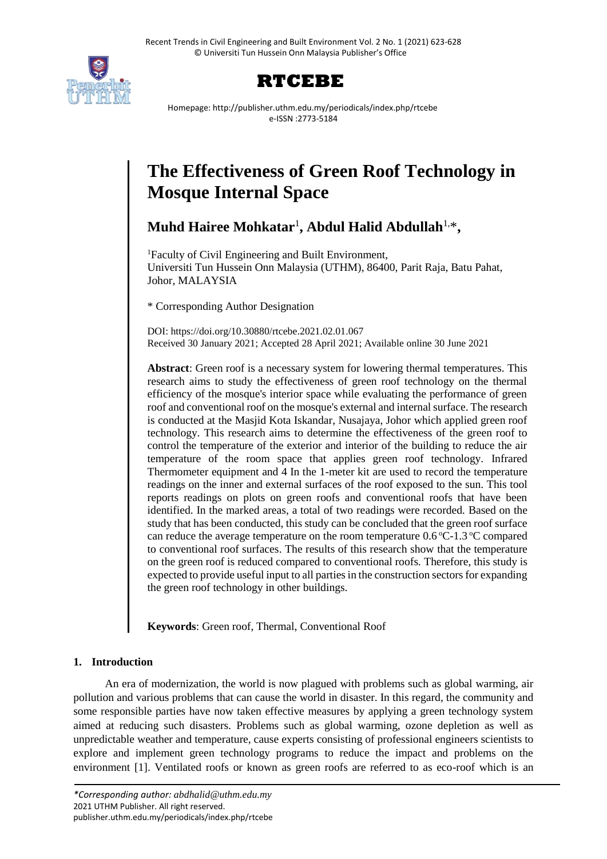



Homepage: http://publisher.uthm.edu.my/periodicals/index.php/rtcebe e-ISSN :2773-5184

# **The Effectiveness of Green Roof Technology in Mosque Internal Space**

**Muhd Hairee Mohkatar**<sup>1</sup> **, Abdul Halid Abdullah**1,\* **,** 

<sup>1</sup>Faculty of Civil Engineering and Built Environment, Universiti Tun Hussein Onn Malaysia (UTHM), 86400, Parit Raja, Batu Pahat, Johor, MALAYSIA

\* Corresponding Author Designation

DOI: https://doi.org/10.30880/rtcebe.2021.02.01.067 Received 30 January 2021; Accepted 28 April 2021; Available online 30 June 2021

**Abstract**: Green roof is a necessary system for lowering thermal temperatures. This research aims to study the effectiveness of green roof technology on the thermal efficiency of the mosque's interior space while evaluating the performance of green roof and conventional roof on the mosque's external and internal surface. The research is conducted at the Masjid Kota Iskandar, Nusajaya, Johor which applied green roof technology. This research aims to determine the effectiveness of the green roof to control the temperature of the exterior and interior of the building to reduce the air temperature of the room space that applies green roof technology. Infrared Thermometer equipment and 4 In the 1-meter kit are used to record the temperature readings on the inner and external surfaces of the roof exposed to the sun. This tool reports readings on plots on green roofs and conventional roofs that have been identified. In the marked areas, a total of two readings were recorded*.* Based on the study that has been conducted, this study can be concluded that the green roof surface can reduce the average temperature on the room temperature  $0.6^{\circ}$ C-1.3  $^{\circ}$ C compared to conventional roof surfaces. The results of this research show that the temperature on the green roof is reduced compared to conventional roofs. Therefore, this study is expected to provide useful input to all parties in the construction sectors for expanding the green roof technology in other buildings.

**Keywords**: Green roof, Thermal, Conventional Roof

## **1. Introduction**

An era of modernization, the world is now plagued with problems such as global warming, air pollution and various problems that can cause the world in disaster. In this regard, the community and some responsible parties have now taken effective measures by applying a green technology system aimed at reducing such disasters. Problems such as global warming, ozone depletion as well as unpredictable weather and temperature, cause experts consisting of professional engineers scientists to explore and implement green technology programs to reduce the impact and problems on the environment [1]. Ventilated roofs or known as green roofs are referred to as eco-roof which is an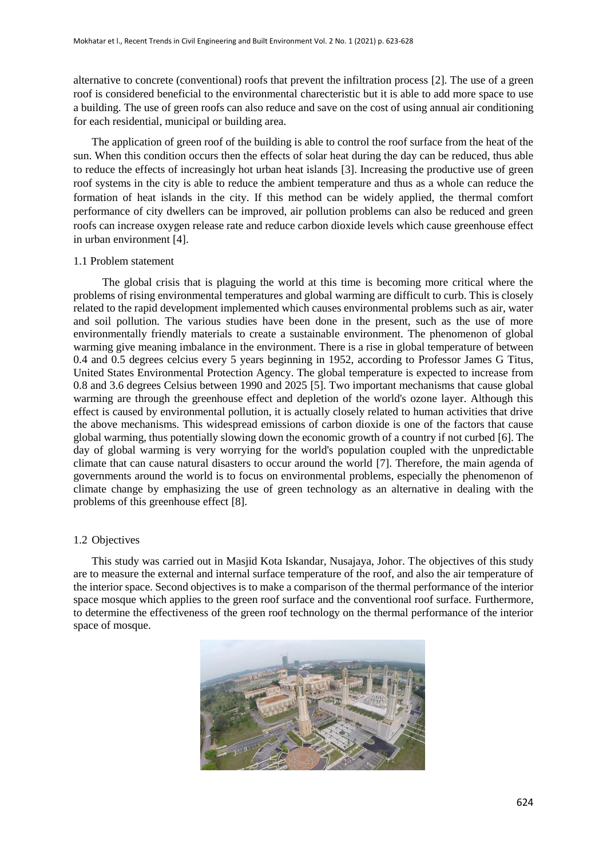alternative to concrete (conventional) roofs that prevent the infiltration process [2]. The use of a green roof is considered beneficial to the environmental charecteristic but it is able to add more space to use a building. The use of green roofs can also reduce and save on the cost of using annual air conditioning for each residential, municipal or building area.

The application of green roof of the building is able to control the roof surface from the heat of the sun. When this condition occurs then the effects of solar heat during the day can be reduced, thus able to reduce the effects of increasingly hot urban heat islands [3]. Increasing the productive use of green roof systems in the city is able to reduce the ambient temperature and thus as a whole can reduce the formation of heat islands in the city. If this method can be widely applied, the thermal comfort performance of city dwellers can be improved, air pollution problems can also be reduced and green roofs can increase oxygen release rate and reduce carbon dioxide levels which cause greenhouse effect in urban environment [4].

## 1.1 Problem statement

The global crisis that is plaguing the world at this time is becoming more critical where the problems of rising environmental temperatures and global warming are difficult to curb. This is closely related to the rapid development implemented which causes environmental problems such as air, water and soil pollution. The various studies have been done in the present, such as the use of more environmentally friendly materials to create a sustainable environment. The phenomenon of global warming give meaning imbalance in the environment. There is a rise in global temperature of between 0.4 and 0.5 degrees celcius every 5 years beginning in 1952, according to Professor James G Titus, United States Environmental Protection Agency. The global temperature is expected to increase from 0.8 and 3.6 degrees Celsius between 1990 and 2025 [5]. Two important mechanisms that cause global warming are through the greenhouse effect and depletion of the world's ozone layer. Although this effect is caused by environmental pollution, it is actually closely related to human activities that drive the above mechanisms. This widespread emissions of carbon dioxide is one of the factors that cause global warming, thus potentially slowing down the economic growth of a country if not curbed [6]. The day of global warming is very worrying for the world's population coupled with the unpredictable climate that can cause natural disasters to occur around the world [7]. Therefore, the main agenda of governments around the world is to focus on environmental problems, especially the phenomenon of climate change by emphasizing the use of green technology as an alternative in dealing with the problems of this greenhouse effect [8].

## 1.2 Objectives

This study was carried out in Masjid Kota Iskandar, Nusajaya, Johor. The objectives of this study are to measure the external and internal surface temperature of the roof, and also the air temperature of the interior space. Second objectives is to make a comparison of the thermal performance of the interior space mosque which applies to the green roof surface and the conventional roof surface. Furthermore, to determine the effectiveness of the green roof technology on the thermal performance of the interior space of mosque.

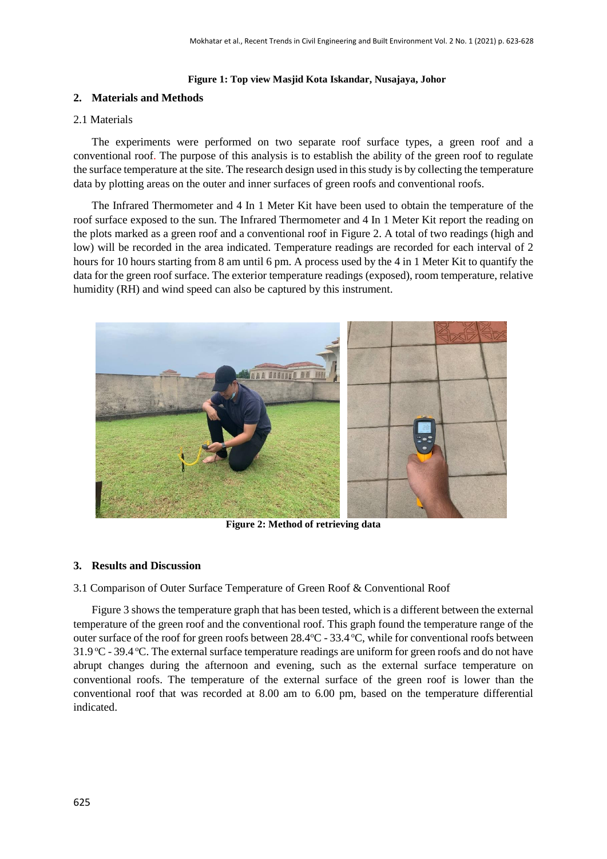#### **Figure 1: Top view Masjid Kota Iskandar, Nusajaya, Johor**

## **2. Materials and Methods**

#### 2.1 Materials

The experiments were performed on two separate roof surface types, a green roof and a conventional roof. The purpose of this analysis is to establish the ability of the green roof to regulate the surface temperature at the site. The research design used in this study is by collecting the temperature data by plotting areas on the outer and inner surfaces of green roofs and conventional roofs.

The Infrared Thermometer and 4 In 1 Meter Kit have been used to obtain the temperature of the roof surface exposed to the sun. The Infrared Thermometer and 4 In 1 Meter Kit report the reading on the plots marked as a green roof and a conventional roof in Figure 2. A total of two readings (high and low) will be recorded in the area indicated. Temperature readings are recorded for each interval of 2 hours for 10 hours starting from 8 am until 6 pm. A process used by the 4 in 1 Meter Kit to quantify the data for the green roof surface. The exterior temperature readings (exposed), room temperature, relative humidity (RH) and wind speed can also be captured by this instrument.



**Figure 2: Method of retrieving data**

#### **3. Results and Discussion**

3.1 Comparison of Outer Surface Temperature of Green Roof & Conventional Roof

Figure 3 shows the temperature graph that has been tested, which is a different between the external temperature of the green roof and the conventional roof. This graph found the temperature range of the outer surface of the roof for green roofs between  $28.4^{\circ}$ C -  $33.4^{\circ}$ C, while for conventional roofs between 31.9  $\degree$ C - 39.4  $\degree$ C. The external surface temperature readings are uniform for green roofs and do not have abrupt changes during the afternoon and evening, such as the external surface temperature on conventional roofs. The temperature of the external surface of the green roof is lower than the conventional roof that was recorded at 8.00 am to 6.00 pm, based on the temperature differential indicated.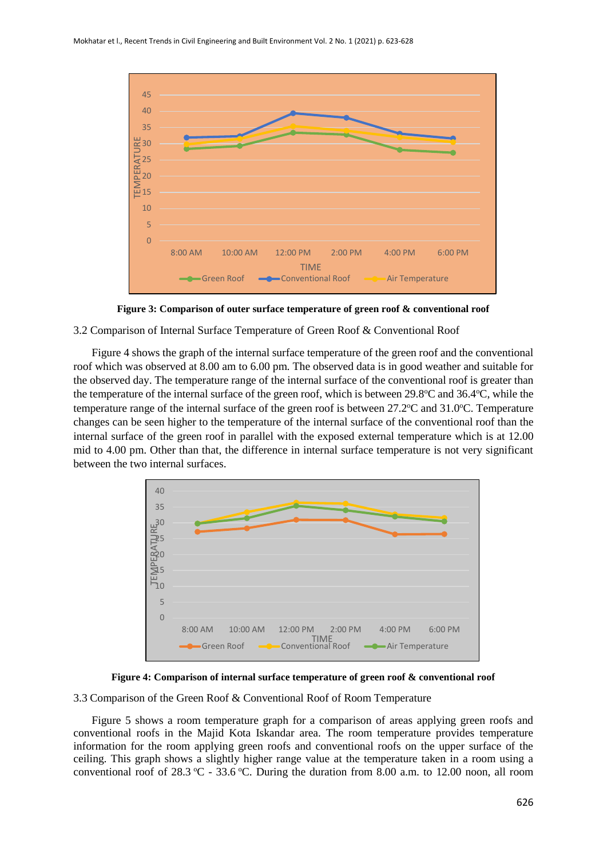

**Figure 3: Comparison of outer surface temperature of green roof & conventional roof**

3.2 Comparison of Internal Surface Temperature of Green Roof & Conventional Roof

Figure 4 shows the graph of the internal surface temperature of the green roof and the conventional roof which was observed at 8.00 am to 6.00 pm. The observed data is in good weather and suitable for the observed day. The temperature range of the internal surface of the conventional roof is greater than the temperature of the internal surface of the green roof, which is between  $29.8^{\circ}$ C and  $36.4^{\circ}$ C, while the temperature range of the internal surface of the green roof is between  $27.2^{\circ}$ C and  $31.0^{\circ}$ C. Temperature changes can be seen higher to the temperature of the internal surface of the conventional roof than the internal surface of the green roof in parallel with the exposed external temperature which is at 12.00 mid to 4.00 pm. Other than that, the difference in internal surface temperature is not very significant between the two internal surfaces.



**Figure 4: Comparison of internal surface temperature of green roof & conventional roof**

3.3 Comparison of the Green Roof & Conventional Roof of Room Temperature

Figure 5 shows a room temperature graph for a comparison of areas applying green roofs and conventional roofs in the Majid Kota Iskandar area. The room temperature provides temperature information for the room applying green roofs and conventional roofs on the upper surface of the ceiling. This graph shows a slightly higher range value at the temperature taken in a room using a conventional roof of 28.3 °C - 33.6 °C. During the duration from 8.00 a.m. to 12.00 noon, all room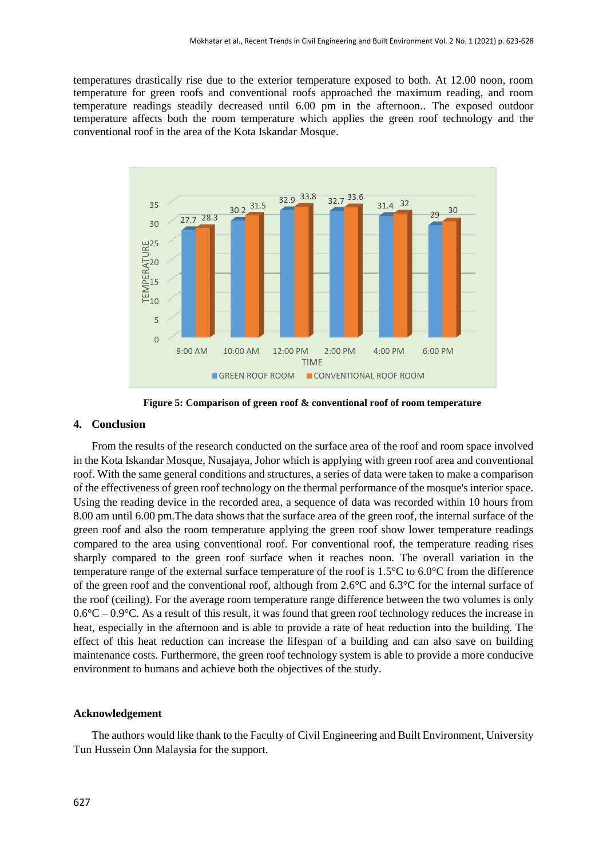temperatures drastically rise due to the exterior temperature exposed to both. At 12.00 noon, room temperature for green roofs and conventional roofs approached the maximum reading, and room temperature readings steadily decreased until 6.00 pm in the afternoon.. The exposed outdoor temperature affects both the room temperature which applies the green roof technology and the conventional roof in the area of the Kota Iskandar Mosque.



**Figure 5: Comparison of green roof & conventional roof of room temperature**

#### **4. Conclusion**

From the results of the research conducted on the surface area of the roof and room space involved in the Kota Iskandar Mosque, Nusajaya, Johor which is applying with green roof area and conventional roof. With the same general conditions and structures, a series of data were taken to make a comparison of the effectiveness of green roof technology on the thermal performance of the mosque's interior space. Using the reading device in the recorded area, a sequence of data was recorded within 10 hours from 8.00 am until 6.00 pm.The data shows that the surface area of the green roof, the internal surface of the green roof and also the room temperature applying the green roof show lower temperature readings compared to the area using conventional roof. For conventional roof, the temperature reading rises sharply compared to the green roof surface when it reaches noon. The overall variation in the temperature range of the external surface temperature of the roof is 1.5°C to 6.0°C from the difference of the green roof and the conventional roof, although from 2.6°C and 6.3°C for the internal surface of the roof (ceiling). For the average room temperature range difference between the two volumes is only  $0.6^{\circ}\text{C} - 0.9^{\circ}\text{C}$ . As a result of this result, it was found that green roof technology reduces the increase in heat, especially in the afternoon and is able to provide a rate of heat reduction into the building. The effect of this heat reduction can increase the lifespan of a building and can also save on building maintenance costs. Furthermore, the green roof technology system is able to provide a more conducive environment to humans and achieve both the objectives of the study.

#### **Acknowledgement**

The authors would like thank to the Faculty of Civil Engineering and Built Environment, University Tun Hussein Onn Malaysia for the support.